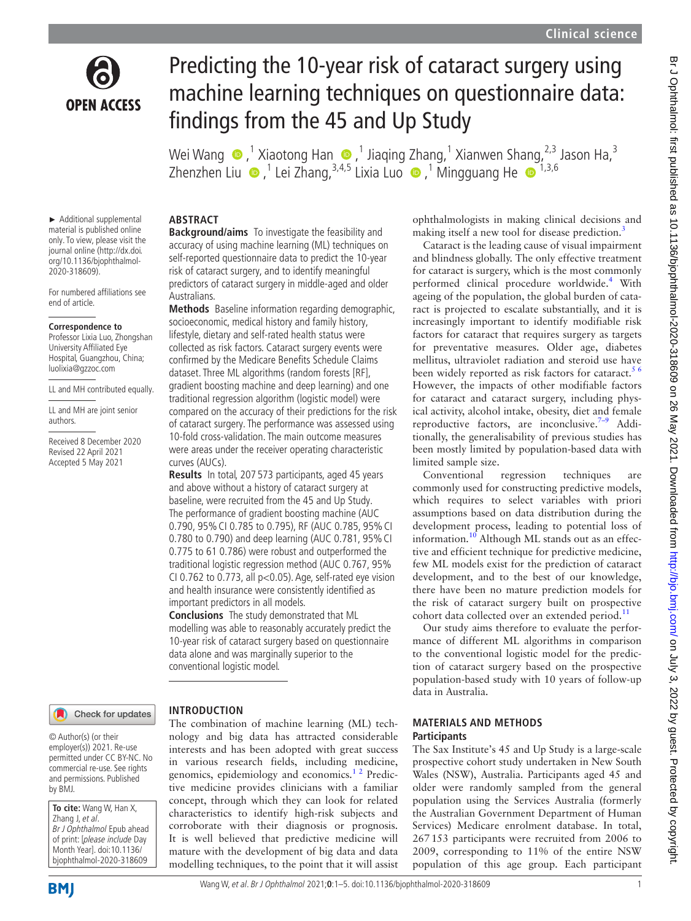ophthalmologists in making clinical decisions and making itself a new tool for disease prediction.<sup>3</sup> Cataract is the leading cause of visual impairment and blindness globally. The only effective treatment for cataract is surgery, which is the most commonly performed clinical procedure worldwide.<sup>[4](#page-3-2)</sup> With ageing of the population, the global burden of cataract is projected to escalate substantially, and it is increasingly important to identify modifiable risk factors for cataract that requires surgery as targets for preventative measures. Older age, diabetes mellitus, ultraviolet radiation and steroid use have been widely reported as risk factors for cataract.<sup>56</sup> However, the impacts of other modifiable factors for cataract and cataract surgery, including physical activity, alcohol intake, obesity, diet and female reproductive factors, are inconclusive. $7-9$  Additionally, the generalisability of previous studies has been mostly limited by population-based data with

Conventional regression techniques are commonly used for constructing predictive models, which requires to select variables with priori assumptions based on data distribution during the development process, leading to potential loss of information.<sup>10</sup> Although ML stands out as an effective and efficient technique for predictive medicine, few ML models exist for the prediction of cataract development, and to the best of our knowledge, there have been no mature prediction models for the risk of cataract surgery built on prospective cohort data collected over an extended period.<sup>11</sup> Our study aims therefore to evaluate the performance of different ML algorithms in comparison to the conventional logistic model for the prediction of cataract surgery based on the prospective population-based study with 10 years of follow-up

limited sample size.

data in Australia.

**MATERIALS AND METHODS**



# Predicting the 10-year risk of cataract surgery using machine learning techniques on questionnaire data: findings from the 45 and Up Study

Wei Wang  $\bigcirc$  ,<sup>1</sup> Xiaotong Han  $\bigcirc$  ,<sup>1</sup> Jiaqing Zhang,<sup>1</sup> Xianwen Shang,<sup>2,3</sup> Jason Ha,<sup>3</sup> ZhenzhenLiu  $\bigcirc$  ,<sup>1</sup> Lei Zhang,<sup>3,4,5</sup> Lixia Luo  $\bigcirc$  ,<sup>1</sup> Mingguang He  $\bigcirc$  <sup>1,3,6</sup>

► Additional supplemental material is published online only. To view, please visit the journal online (http://dx.doi. org/10.1136/bjophthalmol-2020-318609).

For numbered affiliations see end of article.

#### **Correspondence to**

Professor Lixia Luo, Zhongshan University Affiliated Eye Hospital, Guangzhou, China; luolixia@gzzoc.com

LL and MH contributed equally.

LL and MH are joint senior authors.

Received 8 December 2020 Revised 22 April 2021 Accepted 5 May 2021

# Check for updates

# **INTRODUCTION**

© Author(s) (or their employer(s)) 2021. Re-use permitted under CC BY-NC. No commercial re-use. See rights and permissions. Published by BMJ.

**To cite:** Wang W, Han X, Zhang J, et al. Br J Ophthalmol Epub ahead of print: [please include Day Month Year]. doi:10.1136/ bjophthalmol-2020-318609

# **ABSTRACT**

**Background/aims** To investigate the feasibility and accuracy of using machine learning (ML) techniques on self-reported questionnaire data to predict the 10-year risk of cataract surgery, and to identify meaningful predictors of cataract surgery in middle-aged and older Australians.

**Methods** Baseline information regarding demographic, socioeconomic, medical history and family history, lifestyle, dietary and self-rated health status were collected as risk factors. Cataract surgery events were confirmed by the Medicare Benefits Schedule Claims dataset. Three ML algorithms (random forests [RF], gradient boosting machine and deep learning) and one traditional regression algorithm (logistic model) were compared on the accuracy of their predictions for the risk of cataract surgery. The performance was assessed using 10-fold cross-validation. The main outcome measures were areas under the receiver operating characteristic curves (AUCs).

**Results** In total, 207 573 participants, aged 45 years and above without a history of cataract surgery at baseline, were recruited from the 45 and Up Study. The performance of gradient boosting machine (AUC 0.790, 95% CI 0.785 to 0.795), RF (AUC 0.785, 95% CI 0.780 to 0.790) and deep learning (AUC 0.781, 95% CI 0.775 to 61 0.786) were robust and outperformed the traditional logistic regression method (AUC 0.767, 95% CI 0.762 to 0.773, all p<0.05). Age, self-rated eye vision and health insurance were consistently identified as important predictors in all models.

**Conclusions** The study demonstrated that ML modelling was able to reasonably accurately predict the 10-year risk of cataract surgery based on questionnaire data alone and was marginally superior to the conventional logistic model.

The combination of machine learning (ML) technology and big data has attracted considerable interests and has been adopted with great success in various research fields, including medicine, genomics, epidemiology and economics.<sup>12</sup> Predictive medicine provides clinicians with a familiar concept, through which they can look for related characteristics to identify high-risk subjects and corroborate with their diagnosis or prognosis. It is well believed that predictive medicine will mature with the development of big data and data modelling techniques, to the point that it will assist

**Participants** The Sax Institute's 45 and Up Study is a large-scale prospective cohort study undertaken in New South Wales (NSW), Australia. Participants aged 45 and older were randomly sampled from the general population using the Services Australia (formerly the Australian Government Department of Human Services) Medicare enrolment database. In total, 267153 participants were recruited from 2006 to 2009, corresponding to 11% of the entire NSW population of this age group. Each participant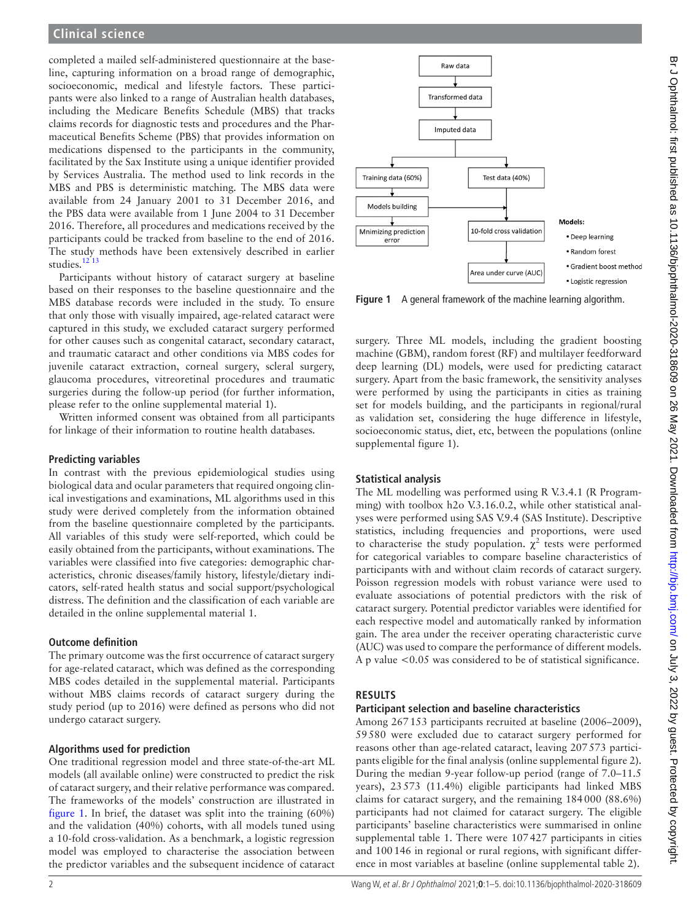# **Clinical science**

completed a mailed self-administered questionnaire at the baseline, capturing information on a broad range of demographic, socioeconomic, medical and lifestyle factors. These participants were also linked to a range of Australian health databases, including the Medicare Benefits Schedule (MBS) that tracks claims records for diagnostic tests and procedures and the Pharmaceutical Benefits Scheme (PBS) that provides information on medications dispensed to the participants in the community, facilitated by the Sax Institute using a unique identifier provided by Services Australia. The method used to link records in the MBS and PBS is deterministic matching. The MBS data were available from 24 January 2001 to 31 December 2016, and the PBS data were available from 1 June 2004 to 31 December 2016. Therefore, all procedures and medications received by the participants could be tracked from baseline to the end of 2016. The study methods have been extensively described in earlier studies.<sup>[12 13](#page-4-2)</sup>

Participants without history of cataract surgery at baseline based on their responses to the baseline questionnaire and the MBS database records were included in the study. To ensure that only those with visually impaired, age-related cataract were captured in this study, we excluded cataract surgery performed for other causes such as congenital cataract, secondary cataract, and traumatic cataract and other conditions via MBS codes for juvenile cataract extraction, corneal surgery, scleral surgery, glaucoma procedures, vitreoretinal procedures and traumatic surgeries during the follow-up period (for further information, please refer to the [online supplemental material 1](https://dx.doi.org/10.1136/bjophthalmol-2020-318609)).

Written informed consent was obtained from all participants for linkage of their information to routine health databases.

#### **Predicting variables**

In contrast with the previous epidemiological studies using biological data and ocular parameters that required ongoing clinical investigations and examinations, ML algorithms used in this study were derived completely from the information obtained from the baseline questionnaire completed by the participants. All variables of this study were self-reported, which could be easily obtained from the participants, without examinations. The variables were classified into five categories: demographic characteristics, chronic diseases/family history, lifestyle/dietary indicators, self-rated health status and social support/psychological distress. The definition and the classification of each variable are detailed in the [online supplemental material 1](https://dx.doi.org/10.1136/bjophthalmol-2020-318609).

### **Outcome definition**

The primary outcome was the first occurrence of cataract surgery for age-related cataract, which was defined as the corresponding MBS codes detailed in the supplemental material. Participants without MBS claims records of cataract surgery during the study period (up to 2016) were defined as persons who did not undergo cataract surgery.

### **Algorithms used for prediction**

One traditional regression model and three state-of-the-art ML models (all available online) were constructed to predict the risk of cataract surgery, and their relative performance was compared. The frameworks of the models' construction are illustrated in [figure](#page-1-0) 1. In brief, the dataset was split into the training (60%) and the validation (40%) cohorts, with all models tuned using a 10-fold cross-validation. As a benchmark, a logistic regression model was employed to characterise the association between the predictor variables and the subsequent incidence of cataract



<span id="page-1-0"></span>**Figure 1** A general framework of the machine learning algorithm.

surgery. Three ML models, including the gradient boosting machine (GBM), random forest (RF) and multilayer feedforward deep learning (DL) models, were used for predicting cataract surgery. Apart from the basic framework, the sensitivity analyses were performed by using the participants in cities as training set for models building, and the participants in regional/rural as validation set, considering the huge difference in lifestyle, socioeconomic status, diet, etc, between the populations [\(online](https://dx.doi.org/10.1136/bjophthalmol-2020-318609) [supplemental figure 1](https://dx.doi.org/10.1136/bjophthalmol-2020-318609)).

# **Statistical analysis**

The ML modelling was performed using R V.3.4.1 (R Programming) with toolbox h2o V.3.16.0.2, while other statistical analyses were performed using SAS V.9.4 (SAS Institute). Descriptive statistics, including frequencies and proportions, were used to characterise the study population.  $\chi^2$  tests were performed for categorical variables to compare baseline characteristics of participants with and without claim records of cataract surgery. Poisson regression models with robust variance were used to evaluate associations of potential predictors with the risk of cataract surgery. Potential predictor variables were identified for each respective model and automatically ranked by information gain. The area under the receiver operating characteristic curve (AUC) was used to compare the performance of different models. A p value <0.05 was considered to be of statistical significance.

# **RESULTS**

#### **Participant selection and baseline characteristics**

Among 267153 participants recruited at baseline (2006–2009), 59580 were excluded due to cataract surgery performed for reasons other than age-related cataract, leaving 207573 participants eligible for the final analysis [\(online supplemental figure 2\)](https://dx.doi.org/10.1136/bjophthalmol-2020-318609). During the median 9-year follow-up period (range of 7.0–11.5 years), 23573 (11.4%) eligible participants had linked MBS claims for cataract surgery, and the remaining 184000 (88.6%) participants had not claimed for cataract surgery. The eligible participants' baseline characteristics were summarised in [online](https://dx.doi.org/10.1136/bjophthalmol-2020-318609) [supplemental table 1.](https://dx.doi.org/10.1136/bjophthalmol-2020-318609) There were 107427 participants in cities and 100146 in regional or rural regions, with significant difference in most variables at baseline ([online supplemental table 2](https://dx.doi.org/10.1136/bjophthalmol-2020-318609)).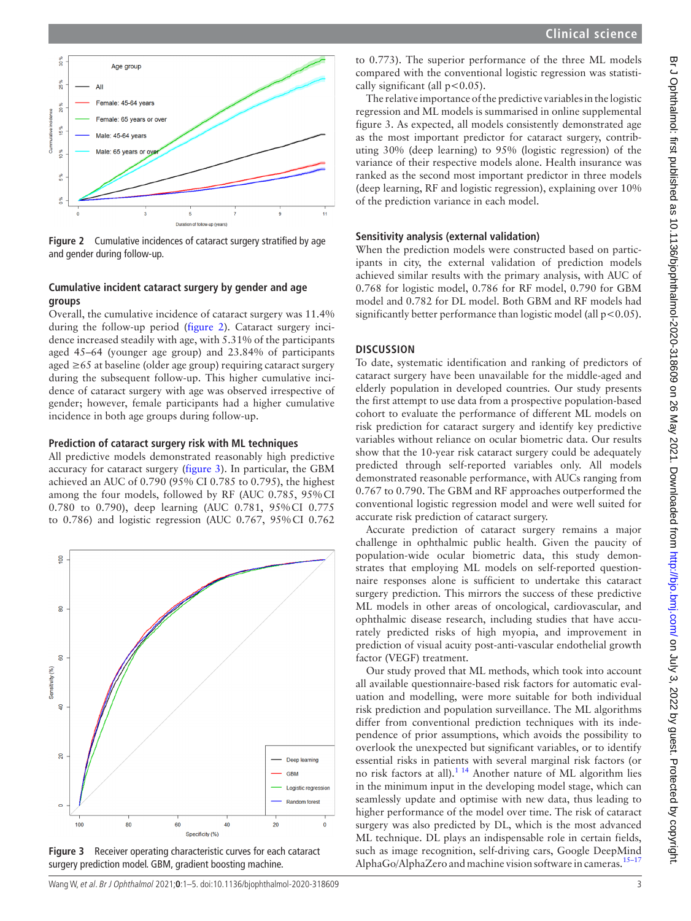

<span id="page-2-0"></span>**Figure 2** Cumulative incidences of cataract surgery stratified by age and gender during follow-up.

# **Cumulative incident cataract surgery by gender and age groups**

Overall, the cumulative incidence of cataract surgery was 11.4% during the follow-up period ([figure](#page-2-0) 2). Cataract surgery incidence increased steadily with age, with 5.31% of the participants aged 45–64 (younger age group) and 23.84% of participants aged ≥65 at baseline (older age group) requiring cataract surgery during the subsequent follow-up. This higher cumulative incidence of cataract surgery with age was observed irrespective of gender; however, female participants had a higher cumulative incidence in both age groups during follow-up.

# **Prediction of cataract surgery risk with ML techniques**

All predictive models demonstrated reasonably high predictive accuracy for cataract surgery ([figure](#page-2-1) 3). In particular, the GBM achieved an AUC of 0.790 (95% CI 0.785 to 0.795), the highest among the four models, followed by RF (AUC 0.785, 95%CI 0.780 to 0.790), deep learning (AUC 0.781, 95%CI 0.775 to 0.786) and logistic regression (AUC 0.767, 95%CI 0.762



<span id="page-2-1"></span>**Figure 3** Receiver operating characteristic curves for each cataract surgery prediction model. GBM, gradient boosting machine.

to 0.773). The superior performance of the three ML models compared with the conventional logistic regression was statistically significant (all  $p < 0.05$ ).

The relative importance of the predictive variables in the logistic regression and ML models is summarised in [online supplemental](https://dx.doi.org/10.1136/bjophthalmol-2020-318609) [figure 3](https://dx.doi.org/10.1136/bjophthalmol-2020-318609). As expected, all models consistently demonstrated age as the most important predictor for cataract surgery, contributing 30% (deep learning) to 95% (logistic regression) of the variance of their respective models alone. Health insurance was ranked as the second most important predictor in three models (deep learning, RF and logistic regression), explaining over 10% of the prediction variance in each model.

# **Sensitivity analysis (external validation)**

When the prediction models were constructed based on participants in city, the external validation of prediction models achieved similar results with the primary analysis, with AUC of 0.768 for logistic model, 0.786 for RF model, 0.790 for GBM model and 0.782 for DL model. Both GBM and RF models had significantly better performance than logistic model (all  $p < 0.05$ ).

# **DISCUSSION**

To date, systematic identification and ranking of predictors of cataract surgery have been unavailable for the middle-aged and elderly population in developed countries. Our study presents the first attempt to use data from a prospective population-based cohort to evaluate the performance of different ML models on risk prediction for cataract surgery and identify key predictive variables without reliance on ocular biometric data. Our results show that the 10-year risk cataract surgery could be adequately predicted through self-reported variables only. All models demonstrated reasonable performance, with AUCs ranging from 0.767 to 0.790. The GBM and RF approaches outperformed the conventional logistic regression model and were well suited for accurate risk prediction of cataract surgery.

Accurate prediction of cataract surgery remains a major challenge in ophthalmic public health. Given the paucity of population-wide ocular biometric data, this study demonstrates that employing ML models on self-reported questionnaire responses alone is sufficient to undertake this cataract surgery prediction. This mirrors the success of these predictive ML models in other areas of oncological, cardiovascular, and ophthalmic disease research, including studies that have accurately predicted risks of high myopia, and improvement in prediction of visual acuity post-anti-vascular endothelial growth factor (VEGF) treatment.

Our study proved that ML methods, which took into account all available questionnaire-based risk factors for automatic evaluation and modelling, were more suitable for both individual risk prediction and population surveillance. The ML algorithms differ from conventional prediction techniques with its independence of prior assumptions, which avoids the possibility to overlook the unexpected but significant variables, or to identify essential risks in patients with several marginal risk factors (or no risk factors at all)[.1 14](#page-3-0) Another nature of ML algorithm lies in the minimum input in the developing model stage, which can seamlessly update and optimise with new data, thus leading to higher performance of the model over time. The risk of cataract surgery was also predicted by DL, which is the most advanced ML technique. DL plays an indispensable role in certain fields, such as image recognition, self-driving cars, Google DeepMind AlphaGo/AlphaZero and machine vision software in cameras.<sup>15–17</sup>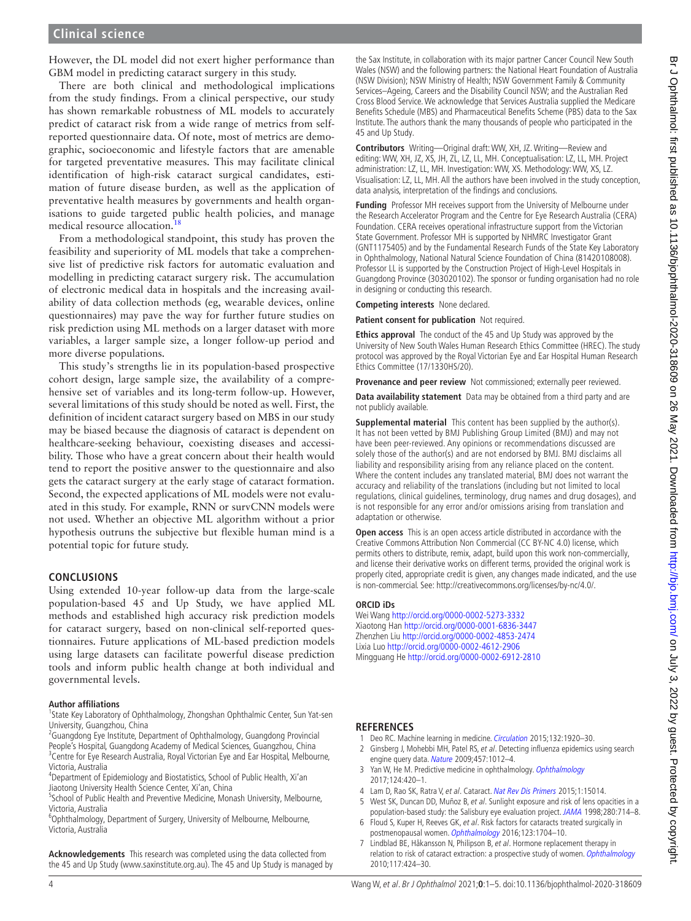However, the DL model did not exert higher performance than GBM model in predicting cataract surgery in this study.

There are both clinical and methodological implications from the study findings. From a clinical perspective, our study has shown remarkable robustness of ML models to accurately predict of cataract risk from a wide range of metrics from selfreported questionnaire data. Of note, most of metrics are demographic, socioeconomic and lifestyle factors that are amenable for targeted preventative measures. This may facilitate clinical identification of high-risk cataract surgical candidates, estimation of future disease burden, as well as the application of preventative health measures by governments and health organisations to guide targeted public health policies, and manage medical resource allocation.<sup>[18](#page-4-4)</sup>

From a methodological standpoint, this study has proven the feasibility and superiority of ML models that take a comprehensive list of predictive risk factors for automatic evaluation and modelling in predicting cataract surgery risk. The accumulation of electronic medical data in hospitals and the increasing availability of data collection methods (eg, wearable devices, online questionnaires) may pave the way for further future studies on risk prediction using ML methods on a larger dataset with more variables, a larger sample size, a longer follow-up period and more diverse populations.

This study's strengths lie in its population-based prospective cohort design, large sample size, the availability of a comprehensive set of variables and its long-term follow-up. However, several limitations of this study should be noted as well. First, the definition of incident cataract surgery based on MBS in our study may be biased because the diagnosis of cataract is dependent on healthcare-seeking behaviour, coexisting diseases and accessibility. Those who have a great concern about their health would tend to report the positive answer to the questionnaire and also gets the cataract surgery at the early stage of cataract formation. Second, the expected applications of ML models were not evaluated in this study. For example, RNN or survCNN models were not used. Whether an objective ML algorithm without a prior hypothesis outruns the subjective but flexible human mind is a potential topic for future study.

# **CONCLUSIONS**

Using extended 10-year follow-up data from the large-scale population-based 45 and Up Study, we have applied ML methods and established high accuracy risk prediction models for cataract surgery, based on non-clinical self-reported questionnaires. Future applications of ML-based prediction models using large datasets can facilitate powerful disease prediction tools and inform public health change at both individual and governmental levels.

#### **Author affiliations**

<sup>1</sup>State Key Laboratory of Ophthalmology, Zhongshan Ophthalmic Center, Sun Yat-sen University, Guangzhou, China <sup>2</sup>

<sup>2</sup>Guangdong Eye Institute, Department of Ophthalmology, Guangdong Provincial People's Hospital, Guangdong Academy of Medical Sciences, Guangzhou, China <sup>3</sup> Centre for Eye Research Australia, Royal Victorian Eye and Ear Hospital, Melbourne, Victoria, Australia

<sup>4</sup>Department of Epidemiology and Biostatistics, School of Public Health, Xi'an Jiaotong University Health Science Center, Xi'an, China

<sup>5</sup>School of Public Health and Preventive Medicine, Monash University, Melbourne, Victoria, Australia

<sup>6</sup>Ophthalmology, Department of Surgery, University of Melbourne, Melbourne, Victoria, Australia

**Acknowledgements** This research was completed using the data collected from the 45 and Up Study [\(www.saxinstitute.org.au\)](www.saxinstitute.org.au). The 45 and Up Study is managed by

the Sax Institute, in collaboration with its major partner Cancer Council New South Wales (NSW) and the following partners: the National Heart Foundation of Australia (NSW Division); NSW Ministry of Health; NSW Government Family & Community Services–Ageing, Careers and the Disability Council NSW; and the Australian Red Cross Blood Service. We acknowledge that Services Australia supplied the Medicare Benefits Schedule (MBS) and Pharmaceutical Benefits Scheme (PBS) data to the Sax Institute. The authors thank the many thousands of people who participated in the 45 and Up Study.

**Contributors** Writing—Original draft: WW, XH, JZ. Writing—Review and editing: WW, XH, JZ, XS, JH, ZL, LZ, LL, MH. Conceptualisation: LZ, LL, MH. Project administration: LZ, LL, MH. Investigation: WW, XS. Methodology: WW, XS, LZ. Visualisation: LZ, LL, MH. All the authors have been involved in the study conception, data analysis, interpretation of the findings and conclusions.

**Funding** Professor MH receives support from the University of Melbourne under the Research Accelerator Program and the Centre for Eye Research Australia (CERA) Foundation. CERA receives operational infrastructure support from the Victorian State Government. Professor MH is supported by NHMRC Investigator Grant (GNT1175405) and by the Fundamental Research Funds of the State Key Laboratory in Ophthalmology, National Natural Science Foundation of China (81420108008). Professor LL is supported by the Construction Project of High-Level Hospitals in Guangdong Province (303020102). The sponsor or funding organisation had no role in designing or conducting this research.

**Competing interests** None declared.

**Patient consent for publication** Not required.

**Ethics approval** The conduct of the 45 and Up Study was approved by the University of New South Wales Human Research Ethics Committee (HREC). The study protocol was approved by the Royal Victorian Eye and Ear Hospital Human Research Ethics Committee (17/1330HS/20).

**Provenance and peer review** Not commissioned; externally peer reviewed.

**Data availability statement** Data may be obtained from a third party and are not publicly available.

**Supplemental material** This content has been supplied by the author(s). It has not been vetted by BMJ Publishing Group Limited (BMJ) and may not have been peer-reviewed. Any opinions or recommendations discussed are solely those of the author(s) and are not endorsed by BMJ. BMJ disclaims all liability and responsibility arising from any reliance placed on the content. Where the content includes any translated material, BMJ does not warrant the accuracy and reliability of the translations (including but not limited to local regulations, clinical guidelines, terminology, drug names and drug dosages), and is not responsible for any error and/or omissions arising from translation and adaptation or otherwise.

**Open access** This is an open access article distributed in accordance with the Creative Commons Attribution Non Commercial (CC BY-NC 4.0) license, which permits others to distribute, remix, adapt, build upon this work non-commercially, and license their derivative works on different terms, provided the original work is properly cited, appropriate credit is given, any changes made indicated, and the use is non-commercial. See: [http://creativecommons.org/licenses/by-nc/4.0/.](http://creativecommons.org/licenses/by-nc/4.0/)

#### **ORCID iDs**

Wei Wang<http://orcid.org/0000-0002-5273-3332> Xiaotong Han <http://orcid.org/0000-0001-6836-3447> Zhenzhen Liu<http://orcid.org/0000-0002-4853-2474> Lixia Luo<http://orcid.org/0000-0002-4612-2906> Mingguang He <http://orcid.org/0000-0002-6912-2810>

# **REFERENCES**

- <span id="page-3-0"></span>1 Deo RC. Machine learning in medicine. [Circulation](http://dx.doi.org/10.1161/CIRCULATIONAHA.115.001593) 2015;132:1920-30.
- 2 Ginsberg J, Mohebbi MH, Patel RS, et al. Detecting influenza epidemics using search engine query data. [Nature](http://dx.doi.org/10.1038/nature07634) 2009;457:1012-4.
- <span id="page-3-1"></span>3 Yan W, He M. Predictive medicine in ophthalmology. [Ophthalmology](http://dx.doi.org/10.1016/j.ophtha.2016.12.018) 2017;124:420–1.
- <span id="page-3-2"></span>4 Lam D, Rao SK, Ratra V, et al. Cataract. [Nat Rev Dis Primers](http://dx.doi.org/10.1038/nrdp.2015.14) 2015;1:15014.
- <span id="page-3-3"></span>5 West SK, Duncan DD, Muñoz B, et al. Sunlight exposure and risk of lens opacities in a
- population-based study: the Salisbury eye evaluation project. [JAMA](http://dx.doi.org/10.1001/jama.280.8.714) 1998;280:714-8. 6 Floud S, Kuper H, Reeves GK, et al. Risk factors for cataracts treated surgically in postmenopausal women. [Ophthalmology](http://dx.doi.org/10.1016/j.ophtha.2016.04.037) 2016;123:1704–10.
- <span id="page-3-4"></span>7 Lindblad BE, Håkansson N, Philipson B, et al. Hormone replacement therapy in relation to risk of cataract extraction: a prospective study of women. [Ophthalmology](http://dx.doi.org/10.1016/j.ophtha.2009.07.046) 2010;117:424–30.